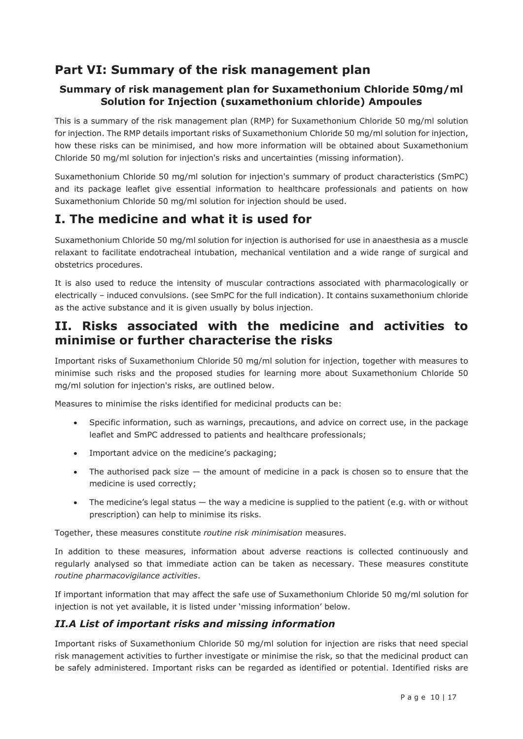## **Part VI: Summary of the risk management plan**

### **Summary of risk management plan for Suxamethonium Chloride 50mg/ml Solution for Injection (suxamethonium chloride) Ampoules**

This is a summary of the risk management plan (RMP) for Suxamethonium Chloride 50 mg/ml solution for injection. The RMP details important risks of Suxamethonium Chloride 50 mg/ml solution for injection, how these risks can be minimised, and how more information will be obtained about Suxamethonium Chloride 50 mg/ml solution for injection's risks and uncertainties (missing information).

Suxamethonium Chloride 50 mg/ml solution for injection's summary of product characteristics (SmPC) and its package leaflet give essential information to healthcare professionals and patients on how Suxamethonium Chloride 50 mg/ml solution for injection should be used.

## **I. The medicine and what it is used for**

Suxamethonium Chloride 50 mg/ml solution for injection is authorised for use in anaesthesia as a muscle relaxant to facilitate endotracheal intubation, mechanical ventilation and a wide range of surgical and obstetrics procedures.

It is also used to reduce the intensity of muscular contractions associated with pharmacologically or electrically – induced convulsions. (see SmPC for the full indication). It contains suxamethonium chloride as the active substance and it is given usually by bolus injection.

### **II. Risks associated with the medicine and activities to minimise or further characterise the risks**

Important risks of Suxamethonium Chloride 50 mg/ml solution for injection, together with measures to minimise such risks and the proposed studies for learning more about Suxamethonium Chloride 50 mg/ml solution for injection's risks, are outlined below.

Measures to minimise the risks identified for medicinal products can be:

- Specific information, such as warnings, precautions, and advice on correct use, in the package leaflet and SmPC addressed to patients and healthcare professionals;
- Important advice on the medicine's packaging;
- $\bullet$  The authorised pack size  $-$  the amount of medicine in a pack is chosen so to ensure that the medicine is used correctly;
- The medicine's legal status  $-$  the way a medicine is supplied to the patient (e.g. with or without prescription) can help to minimise its risks.

Together, these measures constitute *routine risk minimisation* measures.

In addition to these measures, information about adverse reactions is collected continuously and regularly analysed so that immediate action can be taken as necessary. These measures constitute *routine pharmacovigilance activities*.

If important information that may affect the safe use of Suxamethonium Chloride 50 mg/ml solution for injection is not yet available, it is listed under 'missing information' below.

### *II.A List of important risks and missing information*

Important risks of Suxamethonium Chloride 50 mg/ml solution for injection are risks that need special risk management activities to further investigate or minimise the risk, so that the medicinal product can be safely administered. Important risks can be regarded as identified or potential. Identified risks are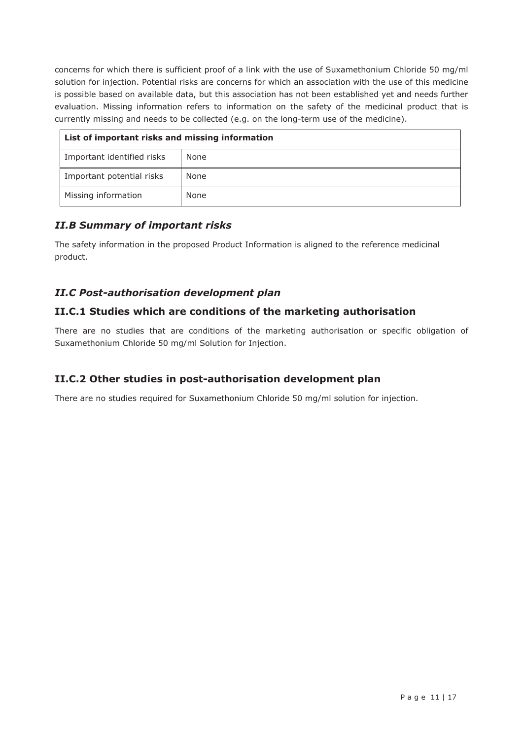concerns for which there is sufficient proof of a link with the use of Suxamethonium Chloride 50 mg/ml solution for injection. Potential risks are concerns for which an association with the use of this medicine is possible based on available data, but this association has not been established yet and needs further evaluation. Missing information refers to information on the safety of the medicinal product that is currently missing and needs to be collected (e.g. on the long-term use of the medicine).

| List of important risks and missing information |      |  |
|-------------------------------------------------|------|--|
| Important identified risks                      | None |  |
| Important potential risks                       | None |  |
| Missing information                             | None |  |

### *II.B Summary of important risks*

The safety information in the proposed Product Information is aligned to the reference medicinal product.

### *II.C Post-authorisation development plan*

### **II.C.1 Studies which are conditions of the marketing authorisation**

There are no studies that are conditions of the marketing authorisation or specific obligation of Suxamethonium Chloride 50 mg/ml Solution for Injection.

#### **II.C.2 Other studies in post-authorisation development plan**

There are no studies required for Suxamethonium Chloride 50 mg/ml solution for injection.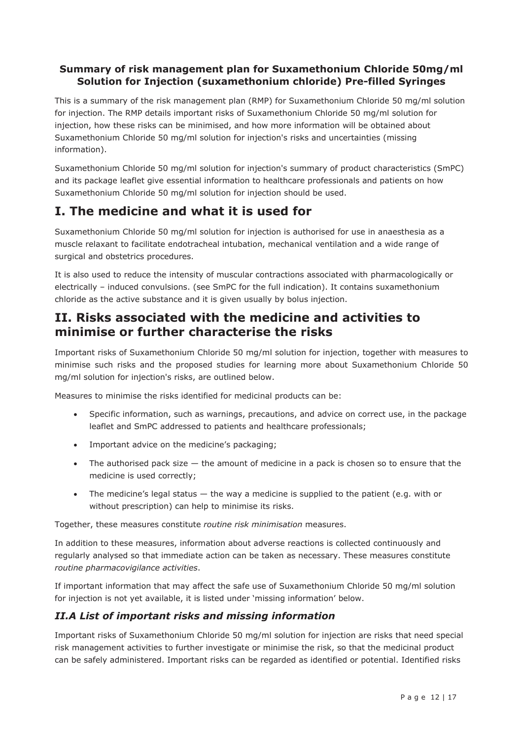### **Summary of risk management plan for Suxamethonium Chloride 50mg/ml Solution for Injection (suxamethonium chloride) Pre-filled Syringes**

This is a summary of the risk management plan (RMP) for Suxamethonium Chloride 50 mg/ml solution for injection. The RMP details important risks of Suxamethonium Chloride 50 mg/ml solution for injection, how these risks can be minimised, and how more information will be obtained about Suxamethonium Chloride 50 mg/ml solution for injection's risks and uncertainties (missing information).

Suxamethonium Chloride 50 mg/ml solution for injection's summary of product characteristics (SmPC) and its package leaflet give essential information to healthcare professionals and patients on how Suxamethonium Chloride 50 mg/ml solution for injection should be used.

## **I. The medicine and what it is used for**

Suxamethonium Chloride 50 mg/ml solution for injection is authorised for use in anaesthesia as a muscle relaxant to facilitate endotracheal intubation, mechanical ventilation and a wide range of surgical and obstetrics procedures.

It is also used to reduce the intensity of muscular contractions associated with pharmacologically or electrically – induced convulsions. (see SmPC for the full indication). It contains suxamethonium chloride as the active substance and it is given usually by bolus injection.

### **II. Risks associated with the medicine and activities to minimise or further characterise the risks**

Important risks of Suxamethonium Chloride 50 mg/ml solution for injection, together with measures to minimise such risks and the proposed studies for learning more about Suxamethonium Chloride 50 mg/ml solution for injection's risks, are outlined below.

Measures to minimise the risks identified for medicinal products can be:

- Specific information, such as warnings, precautions, and advice on correct use, in the package leaflet and SmPC addressed to patients and healthcare professionals;
- Important advice on the medicine's packaging;
- The authorised pack size  $-$  the amount of medicine in a pack is chosen so to ensure that the medicine is used correctly;
- The medicine's legal status  $-$  the way a medicine is supplied to the patient (e.g. with or without prescription) can help to minimise its risks.

Together, these measures constitute *routine risk minimisation* measures.

In addition to these measures, information about adverse reactions is collected continuously and regularly analysed so that immediate action can be taken as necessary. These measures constitute *routine pharmacovigilance activities*.

If important information that may affect the safe use of Suxamethonium Chloride 50 mg/ml solution for injection is not yet available, it is listed under 'missing information' below.

### *II.A List of important risks and missing information*

Important risks of Suxamethonium Chloride 50 mg/ml solution for injection are risks that need special risk management activities to further investigate or minimise the risk, so that the medicinal product can be safely administered. Important risks can be regarded as identified or potential. Identified risks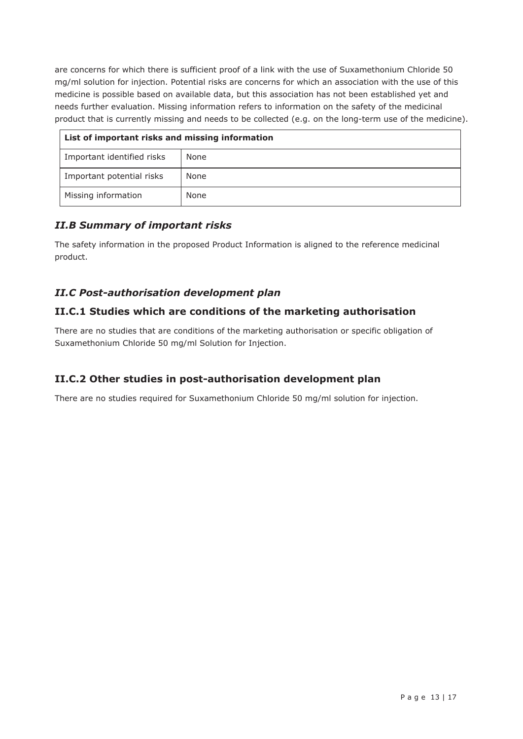are concerns for which there is sufficient proof of a link with the use of Suxamethonium Chloride 50 mg/ml solution for injection. Potential risks are concerns for which an association with the use of this medicine is possible based on available data, but this association has not been established yet and needs further evaluation. Missing information refers to information on the safety of the medicinal product that is currently missing and needs to be collected (e.g. on the long-term use of the medicine).

| List of important risks and missing information |      |  |
|-------------------------------------------------|------|--|
| Important identified risks                      | None |  |
| Important potential risks                       | None |  |
| Missing information                             | None |  |

### *II.B Summary of important risks*

The safety information in the proposed Product Information is aligned to the reference medicinal product.

### *II.C Post-authorisation development plan*

### **II.C.1 Studies which are conditions of the marketing authorisation**

There are no studies that are conditions of the marketing authorisation or specific obligation of Suxamethonium Chloride 50 mg/ml Solution for Injection.

### **II.C.2 Other studies in post-authorisation development plan**

There are no studies required for Suxamethonium Chloride 50 mg/ml solution for injection.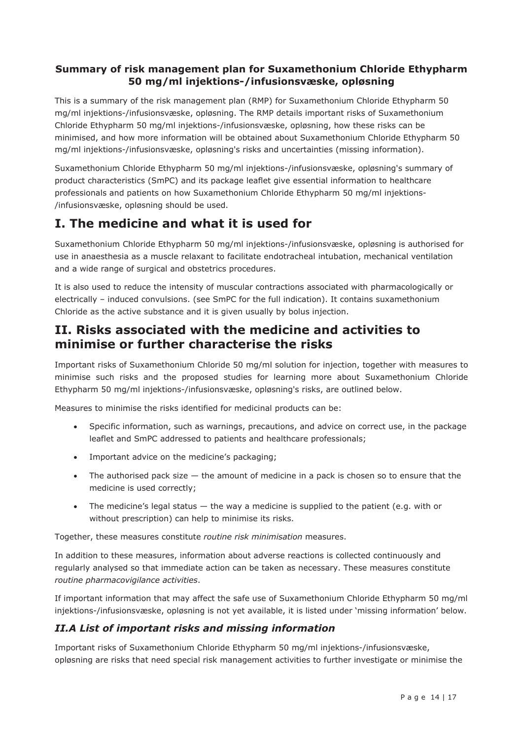### **Summary of risk management plan for Suxamethonium Chloride Ethypharm 50 mg/ml injektions-/infusionsvæske, opløsning**

This is a summary of the risk management plan (RMP) for Suxamethonium Chloride Ethypharm 50 mg/ml injektions-/infusionsvæske, opløsning. The RMP details important risks of Suxamethonium Chloride Ethypharm 50 mg/ml injektions-/infusionsvæske, opløsning, how these risks can be minimised, and how more information will be obtained about Suxamethonium Chloride Ethypharm 50 mg/ml injektions-/infusionsvæske, opløsning's risks and uncertainties (missing information).

Suxamethonium Chloride Ethypharm 50 mg/ml injektions-/infusionsvæske, opløsning's summary of product characteristics (SmPC) and its package leaflet give essential information to healthcare professionals and patients on how Suxamethonium Chloride Ethypharm 50 mg/ml injektions- /infusionsvæske, opløsning should be used.

## **I. The medicine and what it is used for**

Suxamethonium Chloride Ethypharm 50 mg/ml injektions-/infusionsvæske, opløsning is authorised for use in anaesthesia as a muscle relaxant to facilitate endotracheal intubation, mechanical ventilation and a wide range of surgical and obstetrics procedures.

It is also used to reduce the intensity of muscular contractions associated with pharmacologically or electrically – induced convulsions. (see SmPC for the full indication). It contains suxamethonium Chloride as the active substance and it is given usually by bolus injection.

### **II. Risks associated with the medicine and activities to minimise or further characterise the risks**

Important risks of Suxamethonium Chloride 50 mg/ml solution for injection, together with measures to minimise such risks and the proposed studies for learning more about Suxamethonium Chloride Ethypharm 50 mg/ml injektions-/infusionsvæske, opløsning's risks, are outlined below.

Measures to minimise the risks identified for medicinal products can be:

- Specific information, such as warnings, precautions, and advice on correct use, in the package leaflet and SmPC addressed to patients and healthcare professionals;
- Important advice on the medicine's packaging;
- The authorised pack size  $-$  the amount of medicine in a pack is chosen so to ensure that the medicine is used correctly;
- The medicine's legal status  $-$  the way a medicine is supplied to the patient (e.g. with or without prescription) can help to minimise its risks.

Together, these measures constitute *routine risk minimisation* measures.

In addition to these measures, information about adverse reactions is collected continuously and regularly analysed so that immediate action can be taken as necessary. These measures constitute *routine pharmacovigilance activities*.

If important information that may affect the safe use of Suxamethonium Chloride Ethypharm 50 mg/ml injektions-/infusionsvæske, opløsning is not yet available, it is listed under 'missing information' below.

### *II.A List of important risks and missing information*

Important risks of Suxamethonium Chloride Ethypharm 50 mg/ml injektions-/infusionsvæske, opløsning are risks that need special risk management activities to further investigate or minimise the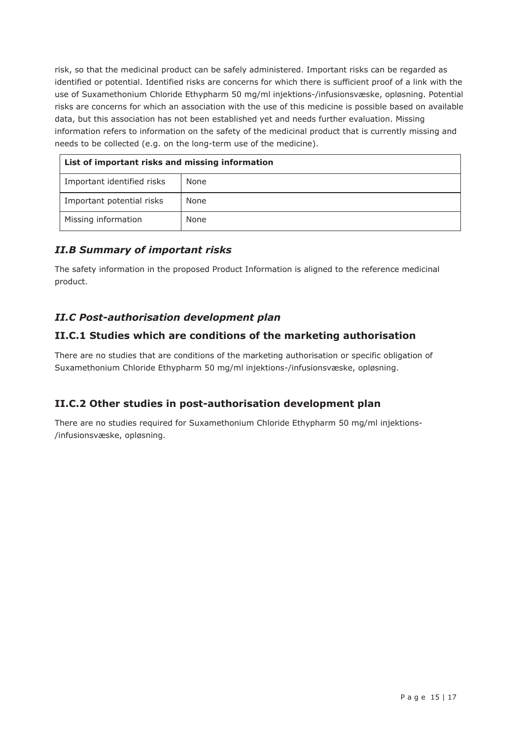risk, so that the medicinal product can be safely administered. Important risks can be regarded as identified or potential. Identified risks are concerns for which there is sufficient proof of a link with the use of Suxamethonium Chloride Ethypharm 50 mg/ml injektions-/infusionsvæske, opløsning. Potential risks are concerns for which an association with the use of this medicine is possible based on available data, but this association has not been established yet and needs further evaluation. Missing information refers to information on the safety of the medicinal product that is currently missing and needs to be collected (e.g. on the long-term use of the medicine).

| List of important risks and missing information |      |  |
|-------------------------------------------------|------|--|
| Important identified risks                      | None |  |
| Important potential risks                       | None |  |
| Missing information                             | None |  |

### *II.B Summary of important risks*

The safety information in the proposed Product Information is aligned to the reference medicinal product.

### *II.C Post-authorisation development plan*

### **II.C.1 Studies which are conditions of the marketing authorisation**

There are no studies that are conditions of the marketing authorisation or specific obligation of Suxamethonium Chloride Ethypharm 50 mg/ml injektions-/infusionsvæske, opløsning.

### **II.C.2 Other studies in post-authorisation development plan**

There are no studies required for Suxamethonium Chloride Ethypharm 50 mg/ml injektions- /infusionsvæske, opløsning.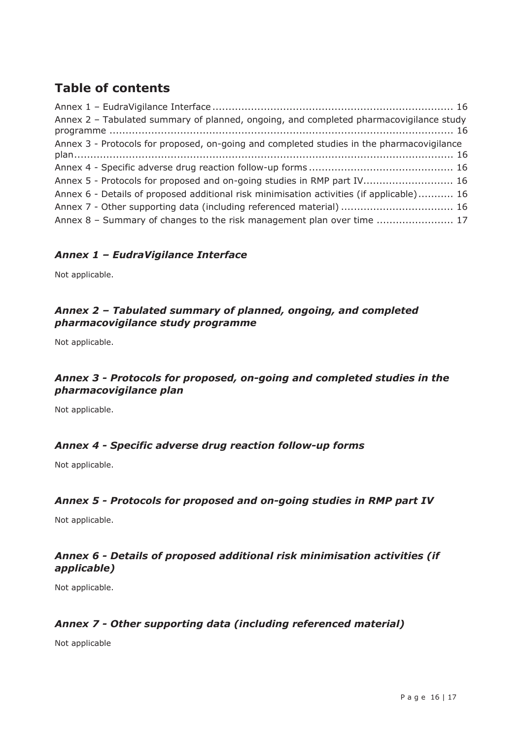# **Table of contents**

| Annex 2 - Tabulated summary of planned, ongoing, and completed pharmacovigilance study    |  |
|-------------------------------------------------------------------------------------------|--|
| Annex 3 - Protocols for proposed, on-going and completed studies in the pharmacovigilance |  |
|                                                                                           |  |
| Annex 5 - Protocols for proposed and on-going studies in RMP part IV 16                   |  |
| Annex 6 - Details of proposed additional risk minimisation activities (if applicable) 16  |  |
|                                                                                           |  |
| Annex 8 - Summary of changes to the risk management plan over time  17                    |  |

### *Annex 1 – EudraVigilance Interface*

Not applicable.

### *Annex 2 – Tabulated summary of planned, ongoing, and completed pharmacovigilance study programme*

Not applicable.

### *Annex 3 - Protocols for proposed, on-going and completed studies in the pharmacovigilance plan*

Not applicable.

### *Annex 4 - Specific adverse drug reaction follow-up forms*

Not applicable.

### *Annex 5 - Protocols for proposed and on-going studies in RMP part IV*

Not applicable.

### *Annex 6 - Details of proposed additional risk minimisation activities (if applicable)*

Not applicable.

### *Annex 7 - Other supporting data (including referenced material)*

Not applicable